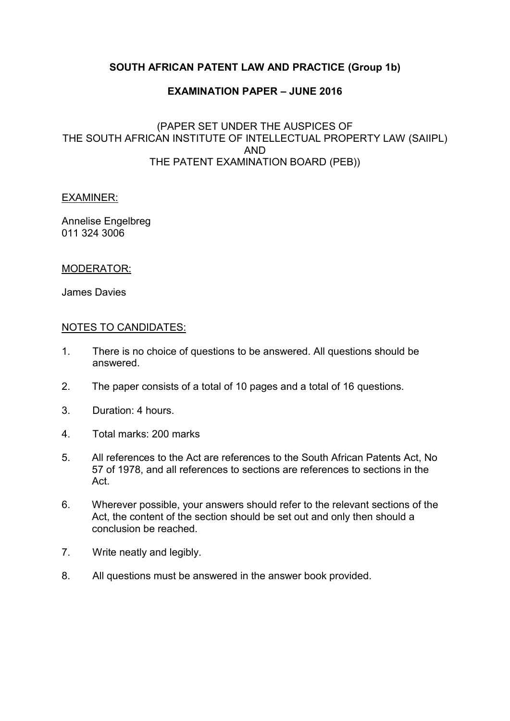# **SOUTH AFRICAN PATENT LAW AND PRACTICE (Group 1b)**

### **EXAMINATION PAPER – JUNE 2016**

### (PAPER SET UNDER THE AUSPICES OF THE SOUTH AFRICAN INSTITUTE OF INTELLECTUAL PROPERTY LAW (SAIIPL) AND THE PATENT EXAMINATION BOARD (PEB))

#### EXAMINER:

Annelise Engelbreg 011 324 3006

### MODERATOR:

James Davies

### NOTES TO CANDIDATES:

- 1. There is no choice of questions to be answered. All questions should be answered.
- 2. The paper consists of a total of 10 pages and a total of 16 questions.
- 3. Duration: 4 hours.
- 4. Total marks: 200 marks
- 5. All references to the Act are references to the South African Patents Act, No 57 of 1978, and all references to sections are references to sections in the Act.
- 6. Wherever possible, your answers should refer to the relevant sections of the Act, the content of the section should be set out and only then should a conclusion be reached.
- 7. Write neatly and legibly.
- 8. All questions must be answered in the answer book provided.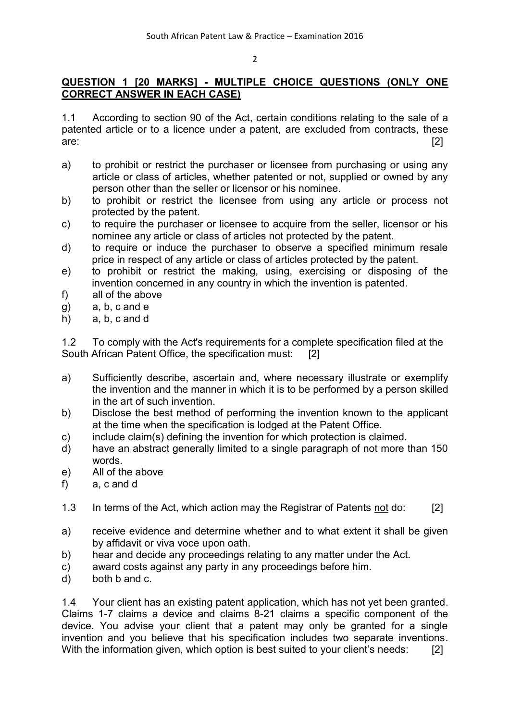# **QUESTION 1 [20 MARKS] - MULTIPLE CHOICE QUESTIONS (ONLY ONE CORRECT ANSWER IN EACH CASE)**

1.1 According to section 90 of the Act, certain conditions relating to the sale of a patented article or to a licence under a patent, are excluded from contracts, these are: [2]

- a) to prohibit or restrict the purchaser or licensee from purchasing or using any article or class of articles, whether patented or not, supplied or owned by any person other than the seller or licensor or his nominee.
- b) to prohibit or restrict the licensee from using any article or process not protected by the patent.
- c) to require the purchaser or licensee to acquire from the seller, licensor or his nominee any article or class of articles not protected by the patent.
- d) to require or induce the purchaser to observe a specified minimum resale price in respect of any article or class of articles protected by the patent.
- e) to prohibit or restrict the making, using, exercising or disposing of the invention concerned in any country in which the invention is patented.
- f) all of the above
- g) a, b, c and e
- h) a, b, c and d

1.2 To comply with the Act's requirements for a complete specification filed at the South African Patent Office, the specification must: [2]

- a) Sufficiently describe, ascertain and, where necessary illustrate or exemplify the invention and the manner in which it is to be performed by a person skilled in the art of such invention.
- b) Disclose the best method of performing the invention known to the applicant at the time when the specification is lodged at the Patent Office.
- c) include claim(s) defining the invention for which protection is claimed.
- d) have an abstract generally limited to a single paragraph of not more than 150 words.
- e) All of the above
- f) a, c and d
- 1.3 In terms of the Act, which action may the Registrar of Patents not do: [2]
- a) receive evidence and determine whether and to what extent it shall be given by affidavit or viva voce upon oath.
- b) hear and decide any proceedings relating to any matter under the Act.
- c) award costs against any party in any proceedings before him.
- d) both b and c.

1.4 Your client has an existing patent application, which has not yet been granted. Claims 1-7 claims a device and claims 8-21 claims a specific component of the device. You advise your client that a patent may only be granted for a single invention and you believe that his specification includes two separate inventions. With the information given, which option is best suited to your client's needs: [2]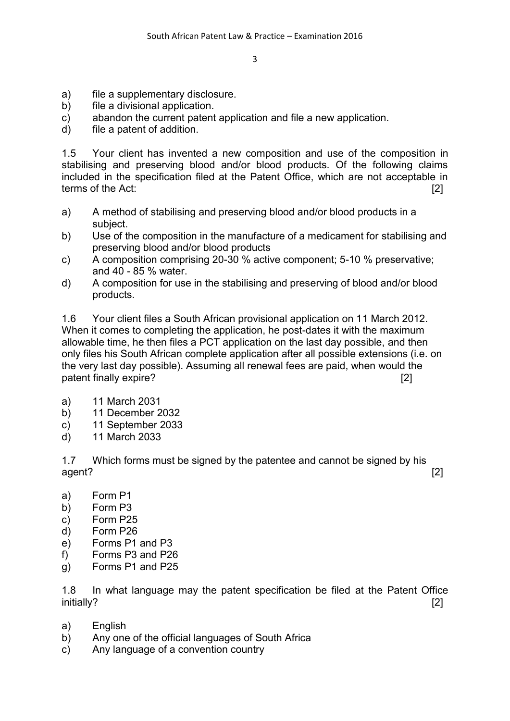- a) file a supplementary disclosure.
- b) file a divisional application.
- c) abandon the current patent application and file a new application.
- d) file a patent of addition.

1.5 Your client has invented a new composition and use of the composition in stabilising and preserving blood and/or blood products. Of the following claims included in the specification filed at the Patent Office, which are not acceptable in terms of the Act: [2]

- a) A method of stabilising and preserving blood and/or blood products in a subject.
- b) Use of the composition in the manufacture of a medicament for stabilising and preserving blood and/or blood products
- c) A composition comprising 20-30 % active component; 5-10 % preservative; and 40 - 85 % water.
- d) A composition for use in the stabilising and preserving of blood and/or blood products.

1.6 Your client files a South African provisional application on 11 March 2012. When it comes to completing the application, he post-dates it with the maximum allowable time, he then files a PCT application on the last day possible, and then only files his South African complete application after all possible extensions (i.e. on the very last day possible). Assuming all renewal fees are paid, when would the patent finally expire? [2]

- a) 11 March 2031
- b) 11 December 2032
- c) 11 September 2033
- d) 11 March 2033

1.7 Which forms must be signed by the patentee and cannot be signed by his agent? [2]

- a) Form P1
- b) Form P3
- c) Form P25
- d) Form P26
- e) Forms P1 and P3
- f) Forms P3 and P26
- g) Forms P1 and P25

1.8 In what language may the patent specification be filed at the Patent Office initially? [2]

- a) English
- b) Any one of the official languages of South Africa
- c) Any language of a convention country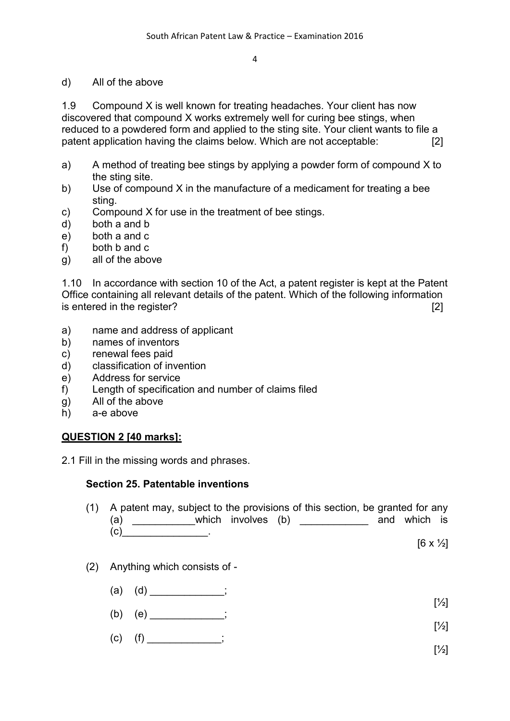### d) All of the above

1.9 Compound X is well known for treating headaches. Your client has now discovered that compound X works extremely well for curing bee stings, when reduced to a powdered form and applied to the sting site. Your client wants to file a patent application having the claims below. Which are not acceptable: [2]

- a) A method of treating bee stings by applying a powder form of compound X to the sting site.
- b) Use of compound X in the manufacture of a medicament for treating a bee sting.
- c) Compound X for use in the treatment of bee stings.
- d) both a and b
- e) both a and c
- f) both b and c
- g) all of the above

1.10 In accordance with section 10 of the Act, a patent register is kept at the Patent Office containing all relevant details of the patent. Which of the following information is entered in the register? [2]

- a) name and address of applicant
- b) names of inventors
- c) renewal fees paid
- d) classification of invention
- e) Address for service
- f) Length of specification and number of claims filed
- g) All of the above
- h) a-e above

### **QUESTION 2 [40 marks]:**

2.1 Fill in the missing words and phrases.

### **Section 25. Patentable inventions**

- (1) A patent may, subject to the provisions of this section, be granted for any (a) \_\_\_\_\_\_\_\_\_\_\_which involves (b) \_\_\_\_\_\_\_\_\_\_\_\_ and which is  $(c)$  .
	- $[6 \times \frac{1}{2}]$

- (2) Anything which consists of
	- (a) (d) \_\_\_\_\_\_\_\_\_\_\_; [½]
	- (b) (e) \_\_\_\_\_\_\_\_\_\_\_\_\_;  $[<sup>1</sup>/<sub>2</sub>]$
	- $(c)$  (f) \_\_\_\_\_\_\_\_\_\_\_\_; [½]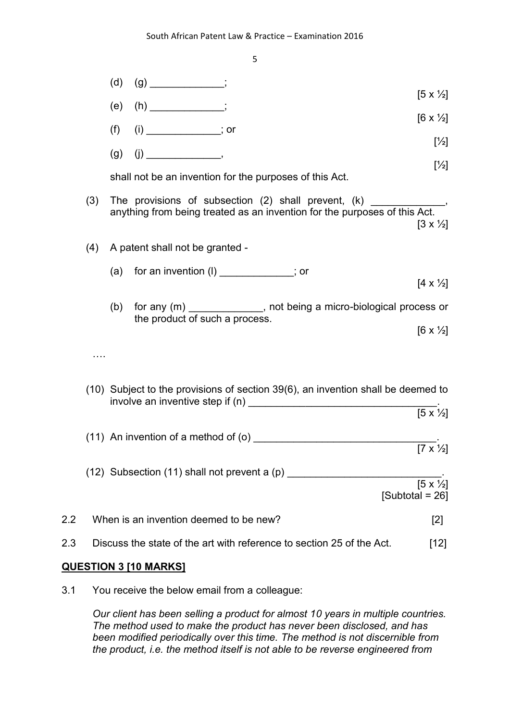

#### **QUESTION 3 [10 MARKS]**

3.1 You receive the below email from a colleague:

*Our client has been selling a product for almost 10 years in multiple countries. The method used to make the product has never been disclosed, and has been modified periodically over this time. The method is not discernible from the product, i.e. the method itself is not able to be reverse engineered from*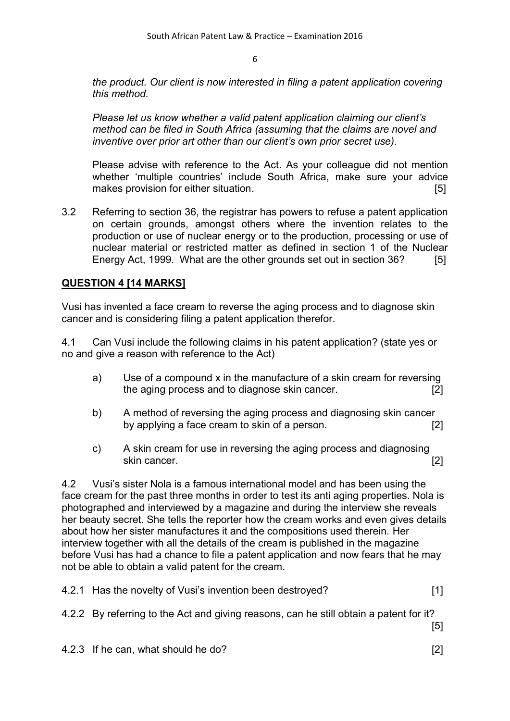*the product. Our client is now interested in filing a patent application covering this method.*

*Please let us know whether a valid patent application claiming our client's method can be filed in South Africa (assuming that the claims are novel and inventive over prior art other than our client's own prior secret use).*

Please advise with reference to the Act. As your colleague did not mention whether 'multiple countries' include South Africa, make sure your advice makes provision for either situation. The same state of the state of the state of the state of the state of the state of the state of the state of the state of the state of the state of the state of the state of the state

3.2 Referring to section 36, the registrar has powers to refuse a patent application on certain grounds, amongst others where the invention relates to the production or use of nuclear energy or to the production, processing or use of nuclear material or restricted matter as defined in section 1 of the Nuclear Energy Act, 1999. What are the other grounds set out in section 36? [5]

# **QUESTION 4 [14 MARKS]**

Vusi has invented a face cream to reverse the aging process and to diagnose skin cancer and is considering filing a patent application therefor.

4.1 Can Vusi include the following claims in his patent application? (state yes or no and give a reason with reference to the Act)

- a) Use of a compound x in the manufacture of a skin cream for reversing the aging process and to diagnose skin cancer. [2]
- b) A method of reversing the aging process and diagnosing skin cancer by applying a face cream to skin of a person. [2]
- c) A skin cream for use in reversing the aging process and diagnosing skin cancer. [2]

4.2 Vusi's sister Nola is a famous international model and has been using the face cream for the past three months in order to test its anti aging properties. Nola is photographed and interviewed by a magazine and during the interview she reveals her beauty secret. She tells the reporter how the cream works and even gives details about how her sister manufactures it and the compositions used therein. Her interview together with all the details of the cream is published in the magazine before Vusi has had a chance to file a patent application and now fears that he may not be able to obtain a valid patent for the cream.

| 4.2.1 Has the novelty of Vusi's invention been destroyed? |  |
|-----------------------------------------------------------|--|
|-----------------------------------------------------------|--|

4.2.2 By referring to the Act and giving reasons, can he still obtain a patent for it? [5]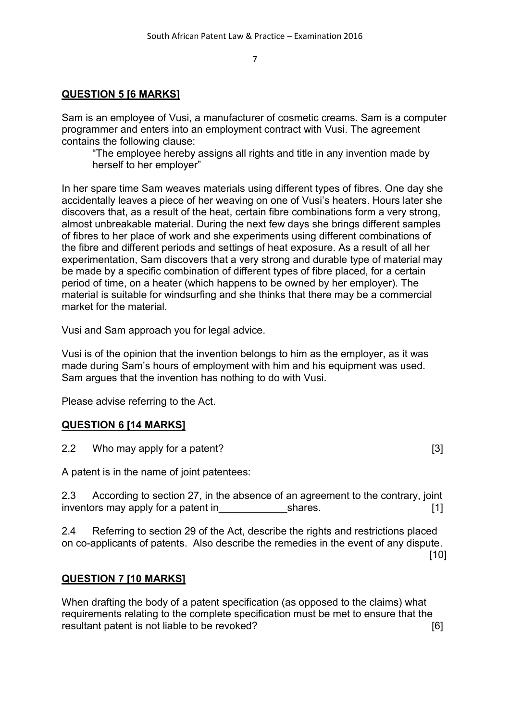# **QUESTION 5 [6 MARKS]**

Sam is an employee of Vusi, a manufacturer of cosmetic creams. Sam is a computer programmer and enters into an employment contract with Vusi. The agreement contains the following clause:

"The employee hereby assigns all rights and title in any invention made by herself to her employer"

In her spare time Sam weaves materials using different types of fibres. One day she accidentally leaves a piece of her weaving on one of Vusi's heaters. Hours later she discovers that, as a result of the heat, certain fibre combinations form a very strong, almost unbreakable material. During the next few days she brings different samples of fibres to her place of work and she experiments using different combinations of the fibre and different periods and settings of heat exposure. As a result of all her experimentation, Sam discovers that a very strong and durable type of material may be made by a specific combination of different types of fibre placed, for a certain period of time, on a heater (which happens to be owned by her employer). The material is suitable for windsurfing and she thinks that there may be a commercial market for the material.

Vusi and Sam approach you for legal advice.

Vusi is of the opinion that the invention belongs to him as the employer, as it was made during Sam's hours of employment with him and his equipment was used. Sam argues that the invention has nothing to do with Vusi.

Please advise referring to the Act.

# **QUESTION 6 [14 MARKS]**

2.2 Who may apply for a patent?

A patent is in the name of joint patentees:

2.3 According to section 27, in the absence of an agreement to the contrary, joint inventors may apply for a patent in The Shares. The shares of the shares. The share of the share is not the share in the share is not the share in the share is not the share in the share is not the share in the share is no

2.4 Referring to section 29 of the Act, describe the rights and restrictions placed on co-applicants of patents. Also describe the remedies in the event of any dispute. [10]

### **QUESTION 7 [10 MARKS]**

When drafting the body of a patent specification (as opposed to the claims) what requirements relating to the complete specification must be met to ensure that the resultant patent is not liable to be revoked? The summary contact that is not liable to be revoked?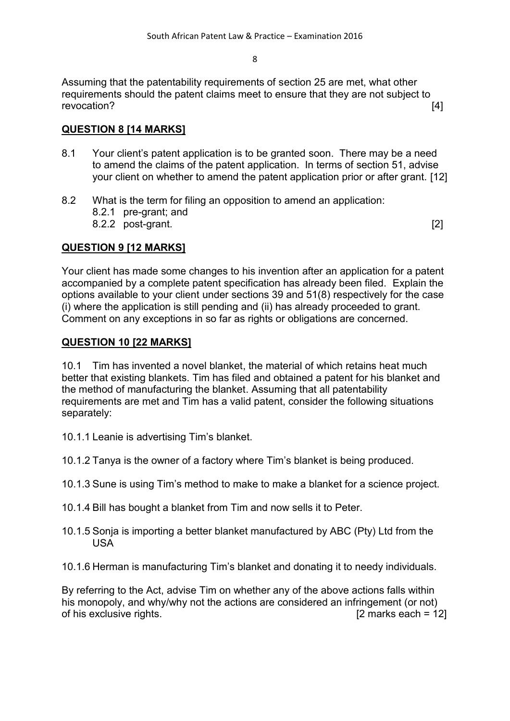Assuming that the patentability requirements of section 25 are met, what other requirements should the patent claims meet to ensure that they are not subject to revocation? [4]

# **QUESTION 8 [14 MARKS]**

- 8.1 Your client's patent application is to be granted soon. There may be a need to amend the claims of the patent application. In terms of section 51, advise your client on whether to amend the patent application prior or after grant. [12]
- 8.2 What is the term for filing an opposition to amend an application:
	- 8.2.1 pre-grant; and
	- 8.2.2 post-grant. [2]

## **QUESTION 9 [12 MARKS]**

Your client has made some changes to his invention after an application for a patent accompanied by a complete patent specification has already been filed. Explain the options available to your client under sections 39 and 51(8) respectively for the case (i) where the application is still pending and (ii) has already proceeded to grant. Comment on any exceptions in so far as rights or obligations are concerned.

### **QUESTION 10 [22 MARKS]**

10.1 Tim has invented a novel blanket, the material of which retains heat much better that existing blankets. Tim has filed and obtained a patent for his blanket and the method of manufacturing the blanket. Assuming that all patentability requirements are met and Tim has a valid patent, consider the following situations separately:

- 10.1.1 Leanie is advertising Tim's blanket.
- 10.1.2 Tanya is the owner of a factory where Tim's blanket is being produced.
- 10.1.3 Sune is using Tim's method to make to make a blanket for a science project.
- 10.1.4 Bill has bought a blanket from Tim and now sells it to Peter.
- 10.1.5 Sonja is importing a better blanket manufactured by ABC (Pty) Ltd from the USA
- 10.1.6 Herman is manufacturing Tim's blanket and donating it to needy individuals.

By referring to the Act, advise Tim on whether any of the above actions falls within his monopoly, and why/why not the actions are considered an infringement (or not) of his exclusive rights. [2 marks each = 12]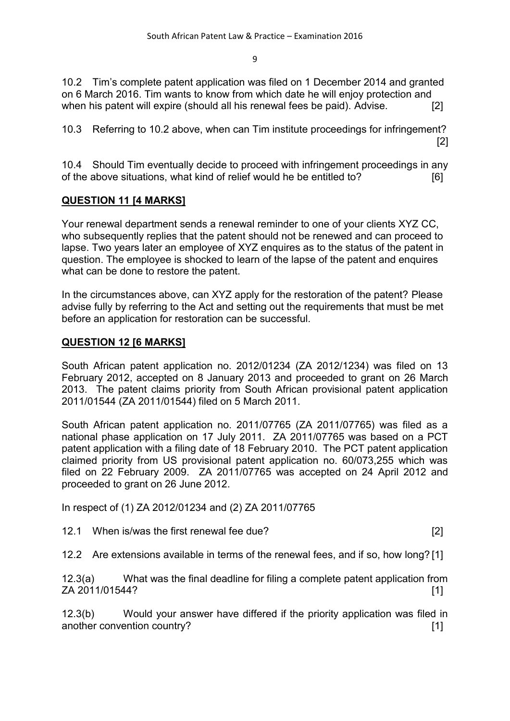10.2 Tim's complete patent application was filed on 1 December 2014 and granted on 6 March 2016. Tim wants to know from which date he will enjoy protection and when his patent will expire (should all his renewal fees be paid). Advise. [2]

10.3 Referring to 10.2 above, when can Tim institute proceedings for infringement? [2]

10.4 Should Tim eventually decide to proceed with infringement proceedings in any of the above situations, what kind of relief would he be entitled to? [6]

## **QUESTION 11 [4 MARKS]**

Your renewal department sends a renewal reminder to one of your clients XYZ CC, who subsequently replies that the patent should not be renewed and can proceed to lapse. Two years later an employee of XYZ enquires as to the status of the patent in question. The employee is shocked to learn of the lapse of the patent and enquires what can be done to restore the patent.

In the circumstances above, can XYZ apply for the restoration of the patent? Please advise fully by referring to the Act and setting out the requirements that must be met before an application for restoration can be successful.

### **QUESTION 12 [6 MARKS]**

South African patent application no. 2012/01234 (ZA 2012/1234) was filed on 13 February 2012, accepted on 8 January 2013 and proceeded to grant on 26 March 2013. The patent claims priority from South African provisional patent application 2011/01544 (ZA 2011/01544) filed on 5 March 2011.

South African patent application no. 2011/07765 (ZA 2011/07765) was filed as a national phase application on 17 July 2011. ZA 2011/07765 was based on a PCT patent application with a filing date of 18 February 2010. The PCT patent application claimed priority from US provisional patent application no. 60/073,255 which was filed on 22 February 2009. ZA 2011/07765 was accepted on 24 April 2012 and proceeded to grant on 26 June 2012.

In respect of (1) ZA 2012/01234 and (2) ZA 2011/07765

12.1 When is/was the first renewal fee due? [2]

12.2 Are extensions available in terms of the renewal fees, and if so, how long? [1]

12.3(a) What was the final deadline for filing a complete patent application from ZA 2011/01544? [1]

12.3(b) Would your answer have differed if the priority application was filed in another convention country? [1]